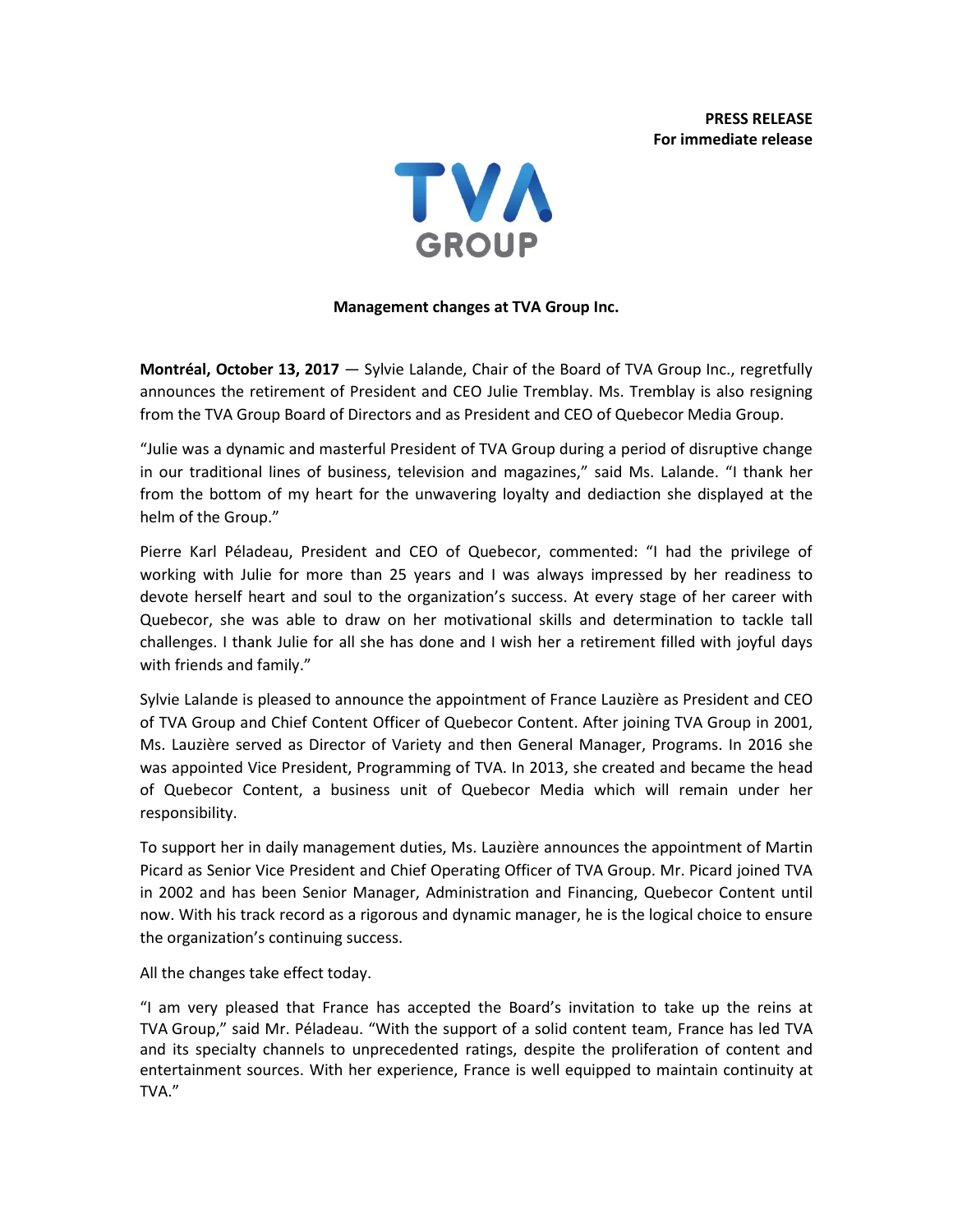**PRESS RELEASE For immediate release**



## **Management changes at TVA Group Inc.**

**Montréal, October 13, 2017** — Sylvie Lalande, Chair of the Board of TVA Group Inc., regretfully announces the retirement of President and CEO Julie Tremblay. Ms. Tremblay is also resigning from the TVA Group Board of Directors and as President and CEO of Quebecor Media Group.

"Julie was a dynamic and masterful President of TVA Group during a period of disruptive change in our traditional lines of business, television and magazines," said Ms. Lalande. "I thank her from the bottom of my heart for the unwavering loyalty and dediaction she displayed at the helm of the Group."

Pierre Karl Péladeau, President and CEO of Quebecor, commented: "I had the privilege of working with Julie for more than 25 years and I was always impressed by her readiness to devote herself heart and soul to the organization's success. At every stage of her career with Quebecor, she was able to draw on her motivational skills and determination to tackle tall challenges. I thank Julie for all she has done and I wish her a retirement filled with joyful days with friends and family."

Sylvie Lalande is pleased to announce the appointment of France Lauzière as President and CEO of TVA Group and Chief Content Officer of Quebecor Content. After joining TVA Group in 2001, Ms. Lauzière served as Director of Variety and then General Manager, Programs. In 2016 she was appointed Vice President, Programming of TVA. In 2013, she created and became the head of Quebecor Content, a business unit of Quebecor Media which will remain under her responsibility.

To support her in daily management duties, Ms. Lauzière announces the appointment of Martin Picard as Senior Vice President and Chief Operating Officer of TVA Group. Mr. Picard joined TVA in 2002 and has been Senior Manager, Administration and Financing, Quebecor Content until now. With his track record as a rigorous and dynamic manager, he is the logical choice to ensure the organization's continuing success.

## All the changes take effect today.

"I am very pleased that France has accepted the Board's invitation to take up the reins at TVA Group," said Mr. Péladeau. "With the support of a solid content team, France has led TVA and its specialty channels to unprecedented ratings, despite the proliferation of content and entertainment sources. With her experience, France is well equipped to maintain continuity at TVA."